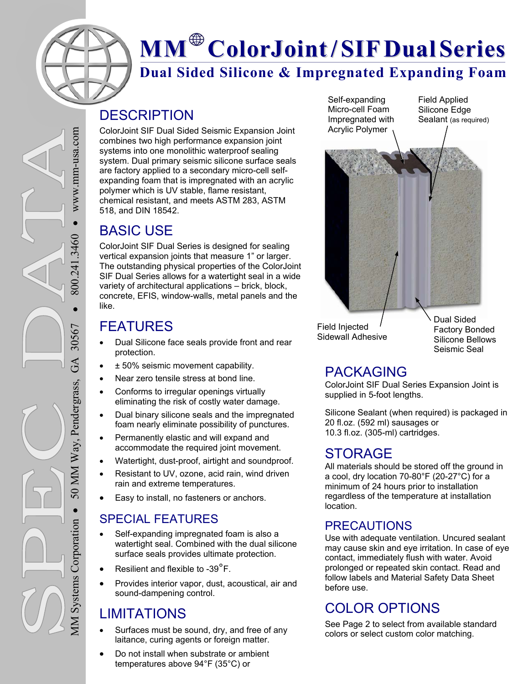

# **Dual Sided Silicone & Impregnated Expanding Foam MM ColorJoint/ SIFDual Series**

### **DESCRIPTION**

ColorJoint SIF Dual Sided Seismic Expansion Joint combines two high performance expansion joint systems into one monolithic waterproof sealing system. Dual primary seismic silicone surface seals are factory applied to a secondary micro-cell selfexpanding foam that is impregnated with an acrylic polymer which is UV stable, flame resistant, chemical resistant, and meets ASTM 283, ASTM 518, and DIN 18542.

# BASIC USE

ColorJoint SIF Dual Series is designed for sealing vertical expansion joints that measure 1" or larger. The outstanding physical properties of the ColorJoint SIF Dual Series allows for a watertight seal in a wide variety of architectural applications – brick, block, concrete, EFIS, window-walls, metal panels and the like.

# FEATURES

- Dual Silicone face seals provide front and rear protection.
- ± 50% seismic movement capability.
- Near zero tensile stress at bond line.
- Conforms to irregular openings virtually eliminating the risk of costly water damage.
- Dual binary silicone seals and the impregnated foam nearly eliminate possibility of punctures.
- Permanently elastic and will expand and accommodate the required joint movement.
- Watertight, dust-proof, airtight and soundproof.
- Resistant to UV, ozone, acid rain, wind driven rain and extreme temperatures.
- Easy to install, no fasteners or anchors.

#### SPECIAL FEATURES

- Self-expanding impregnated foam is also a watertight seal. Combined with the dual silicone surface seals provides ultimate protection.
- Resilient and flexible to -39°F.
- Provides interior vapor, dust, acoustical, air and sound-dampening control.

# LIMITATIONS

- Surfaces must be sound, dry, and free of any laitance, curing agents or foreign matter.
- Do not install when substrate or ambient temperatures above 94°F (35°C) or

Self-expanding Micro-cell Foam Impregnated with Acrylic Polymer

Field Applied Silicone Edge Sealant (as required)



Field Injected Sidewall Adhesive Dual Sided Factory Bonded Silicone Bellows Seismic Seal

#### PACKAGING

ColorJoint SIF Dual Series Expansion Joint is supplied in 5-foot lengths.

Silicone Sealant (when required) is packaged in 20 fl.oz. (592 ml) sausages or 10.3 fl.oz. (305-ml) cartridges.

#### STORAGE

All materials should be stored off the ground in a cool, dry location 70-80°F (20-27°C) for a minimum of 24 hours prior to installation regardless of the temperature at installation location.

#### PRECAUTIONS

Use with adequate ventilation. Uncured sealant may cause skin and eye irritation. In case of eye contact, immediately flush with water. Avoid prolonged or repeated skin contact. Read and follow labels and Material Safety Data Sheet before use.

# COLOR OPTIONS

See Page 2 to select from available standard colors or select custom color matching.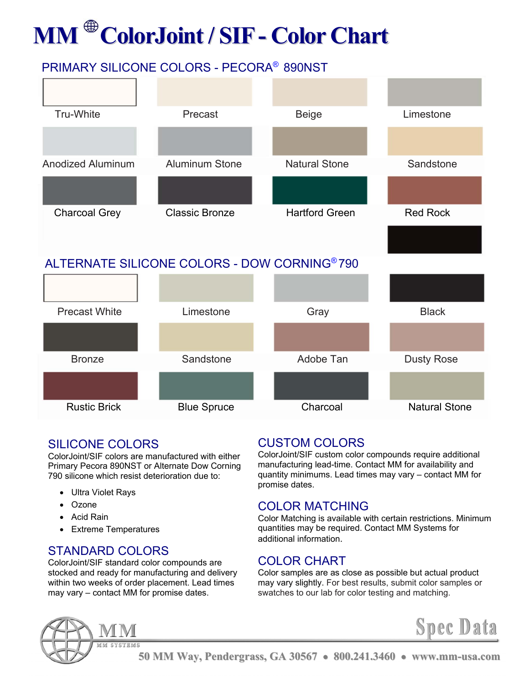# **MM ColorJoint / SIF- Color Chart**

# PRIMARY SILICONE COLORS - PECORA® 890NST



#### SILICONE COLORS

ColorJoint/SIF colors are manufactured with either Primary Pecora 890NST or Alternate Dow Corning 790 silicone which resist deterioration due to:

- Ultra Violet Rays
- Ozone
- Acid Rain
- Extreme Temperatures

#### STANDARD COLORS

ColorJoint/SIF standard color compounds are stocked and ready for manufacturing and delivery within two weeks of order placement. Lead times may vary – contact MM for promise dates.

#### CUSTOM COLORS

ColorJoint/SIF custom color compounds require additional manufacturing lead-time. Contact MM for availability and quantity minimums. Lead times may vary – contact MM for promise dates.

#### COLOR MATCHING

Color Matching is available with certain restrictions. Minimum quantities may be required. Contact MM Systems for additional information.

#### COLOR CHART

Color samples are as close as possible but actual product may vary slightly. For best results, submit color samples or swatches to our lab for color testing and matching.